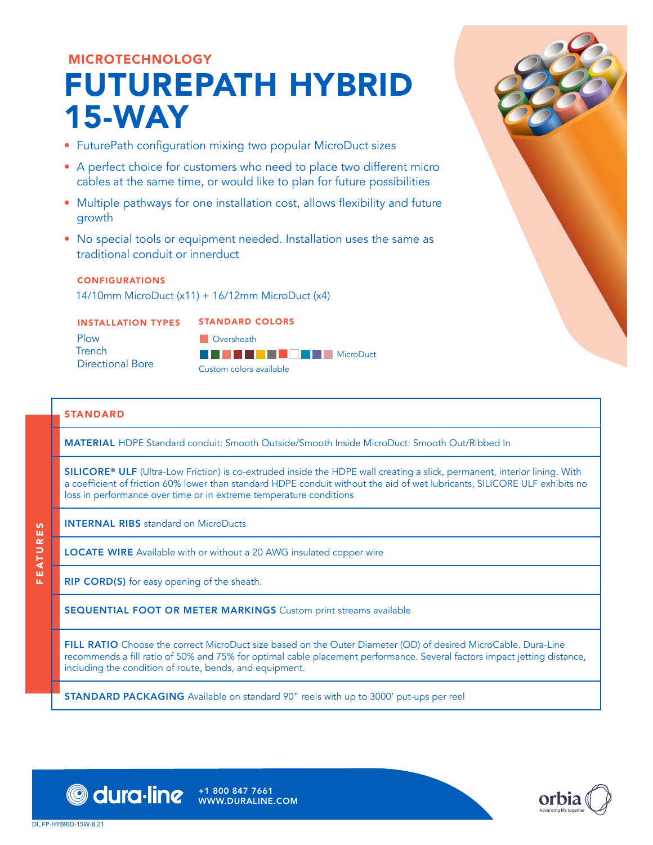# MICROTECHNOLOGY FUTUREPATH HYBRID 15-WAY

- FuturePath configuration mixing two popular MicroDuct sizes
- A perfect choice for customers who need to place two different micro cables at the same time, or would like to plan for future possibilities
- Multiple pathways for one installation cost, allows flexibility and future growth
- No special tools or equipment needed. Installation uses the same as traditional conduit or innerduct

### CONFIGURATIONS

14/10mm MicroDuct (x11) + 16/12mm MicroDuct (x4)

### INSTALLATION TYPES

STANDARD COLORS

Plow **Trench** Directional Bore



### STANDARD

MATERIAL HDPE Standard conduit: Smooth Outside/Smooth Inside MicroDuct: Smooth Out/Ribbed In

SILICORE® ULF (Ultra-Low Friction) is co-extruded inside the HDPE wall creating a slick, permanent, interior lining. With a coefficient of friction 60% lower than standard HDPE conduit without the aid of wet lubricants, SILICORE ULF exhibits no loss in performance over time or in extreme temperature conditions

FEATURES FEATURES INTERNAL RIBS standard on MicroDucts

LOCATE WIRE Available with or without a 20 AWG insulated copper wire

**RIP CORD(S)** for easy opening of the sheath.

SEQUENTIAL FOOT OR METER MARKINGS Custom print streams available

FILL RATIO Choose the correct MicroDuct size based on the Outer Diameter (OD) of desired MicroCable. Dura-Line recommends a fill ratio of 50% and 75% for optimal cable placement performance. Several factors impact jetting distance, including the condition of route, bends, and equipment.

STANDARD PACKAGING Available on standard 90" reels with up to 3000' put-ups per reel

WWW.DURALINE.COM